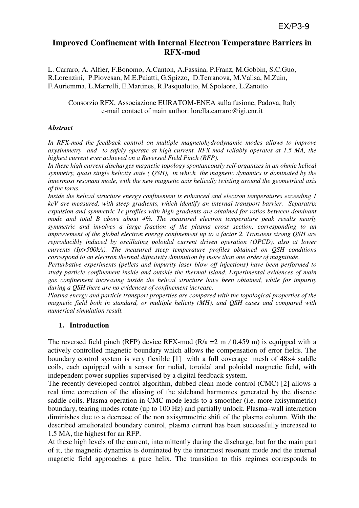# **Improved Confinement with Internal Electron Temperature Barriers in RFX-mod**

L. Carraro, A. Alfier, F.Bonomo, A.Canton, A.Fassina, P.Franz, M.Gobbin, S.C.Guo, R.Lorenzini, P.Piovesan, M.E.Puiatti, G.Spizzo, D.Terranova, M.Valisa, M.Zuin, F.Auriemma, L.Marrelli, E.Martines, R.Pasqualotto, M.Spolaore, L.Zanotto

## Consorzio RFX, Associazione EURATOM-ENEA sulla fusione, Padova, Italy e-mail contact of main author: lorella.carraro@igi.cnr.it

## *Abstract*

In RFX-mod the feedback control on multiple magnetohydrodynamic modes allows to improve *axysimmetry and to safely operate at high current. RFX-mod reliably operates at 1.5 MA, the highest current ever achieved on a Reversed Field Pinch (RFP).* 

*In these high current discharges magnetic topology spontaneously self-organizes in an ohmic helical symmetry, quasi single helicity state ( QSH), in which the magnetic dynamics is dominated by the innermost resonant mode, with the new magnetic axis helically twisting around the geometrical axis of the torus.*

*Inside the helical structure energy confinement is enhanced and electron temperatures exceeding 1 keV are measured, with steep gradients, which identify an internal transport barrier. Separatrix expulsion and symmetric Te profiles with high gradients are obtained for ratios between dominant mode and total B above about 4%. The measured electron temperature peak results nearly symmetric and involves a large fraction of the plasma cross section, corresponding to an improvement of the global electron energy confinement up to a factor 2. Transient strong QSH are reproducibly induced by oscillating poloidal current driven operation (OPCD), also at lower currents (Ip>500kA). The measured steep temperature profiles obtained on QSH conditions correspond to an electron thermal diffusivity diminution by more than one order of magnitude*.

*Perturbative experiments (pellets and impurity laser blow off injections) have been performed to study particle confinement inside and outside the thermal island. Experimental evidences of main gas confinement increasing inside the helical structure have been obtained, while for impurity during a QSH there are no evidences of confinement increase.* 

*Plasma energy and particle transport properties are compared with the topological properties of the magnetic field both in standard, or multiple helicity (MH), and QSH cases and compared with numerical simulation result.* 

# **1. Introduction**

The reversed field pinch (RFP) device RFX-mod (R/a = 2 m / 0.459 m) is equipped with a actively controlled magnetic boundary which allows the compensation of error fields. The boundary control system is very flexible [1] with a full coverage mesh of 48×4 saddle coils, each equipped with a sensor for radial, toroidal and poloidal magnetic field, with independent power supplies supervised by a digital feedback system.

The recently developed control algorithm, dubbed clean mode control (CMC) [2] allows a real time correction of the aliasing of the sideband harmonics generated by the discrete saddle coils. Plasma operation in CMC mode leads to a smoother (i.e. more axisymmetric) boundary, tearing modes rotate (up to 100 Hz) and partially unlock. Plasma–wall interaction diminishes due to a decrease of the non axisymmetric shift of the plasma column. With the described ameliorated boundary control, plasma current has been successfully increased to 1.5 MA, the highest for an RFP.

At these high levels of the current, intermittently during the discharge, but for the main part of it, the magnetic dynamics is dominated by the innermost resonant mode and the internal magnetic field approaches a pure helix. The transition to this regimes corresponds to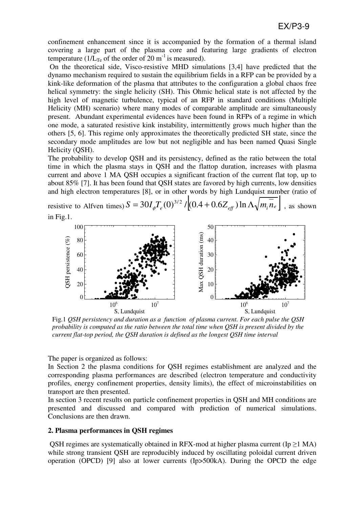confinement enhancement since it is accompanied by the formation of a thermal island covering a large part of the plasma core and featuring large gradients of electron temperature (1/ $L_{Te}$  of the order of 20 m<sup>-1</sup> is measured).

 On the theoretical side, Visco-resistive MHD simulations [3,4] have predicted that the dynamo mechanism required to sustain the equilibrium fields in a RFP can be provided by a kink-like deformation of the plasma that attributes to the configuration a global chaos free helical symmetry: the single helicity (SH). This Ohmic helical state is not affected by the high level of magnetic turbulence, typical of an RFP in standard conditions (Multiple Helicity (MH) scenario) where many modes of comparable amplitude are simultaneously present. Abundant experimental evidences have been found in RFPs of a regime in which one mode, a saturated resistive kink instability, intermittently grows much higher than the others [5, 6]. This regime only approximates the theoretically predicted SH state, since the secondary mode amplitudes are low but not negligible and has been named Quasi Single Helicity (QSH).

The probability to develop QSH and its persistency, defined as the ratio between the total time in which the plasma stays in QSH and the flattop duration, increases with plasma current and above 1 MA QSH occupies a significant fraction of the current flat top, up to about 85% [7]. It has been found that QSH states are favored by high currents, low densities and high electron temperatures [8], or in other words by high Lundquist number (ratio of

resistive to Alfven times)  $S = 30I_{\phi}T_e(0)^{3/2}/[(0.4 + 0.6Z_{eff}) \ln \Lambda \sqrt{m_i \overline{n}_e}$ , as shown in Fig.1.



Fig.1 *QSH persistency and duration as a function of plasma current. For each pulse the QSH probability is computed as the ratio between the total time when QSH is present divided by the current flat-top period, the QSH duration is defined as the longest QSH time interval*

The paper is organized as follows:

In Section 2 the plasma conditions for QSH regimes establishment are analyzed and the corresponding plasma performances are described (electron temperature and conductivity profiles, energy confinement properties, density limits), the effect of microinstabilities on transport are then presented.

In section 3 recent results on particle confinement properties in QSH and MH conditions are presented and discussed and compared with prediction of numerical simulations. Conclusions are then drawn.

### **2. Plasma performances in QSH regimes**

QSH regimes are systematically obtained in RFX-mod at higher plasma current (Ip  $\geq$ 1 MA) while strong transient QSH are reproducibly induced by oscillating poloidal current driven operation (OPCD) [9] also at lower currents (Ip>500kA). During the OPCD the edge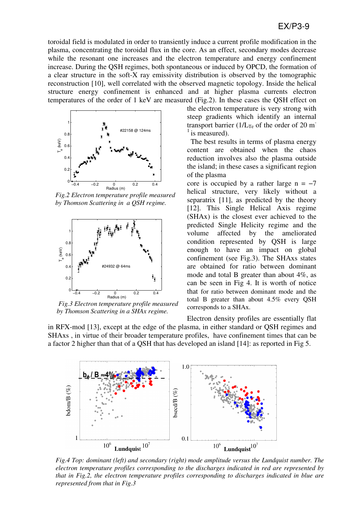# EX/P3-9

toroidal field is modulated in order to transiently induce a current profile modification in the plasma, concentrating the toroidal flux in the core. As an effect, secondary modes decrease while the resonant one increases and the electron temperature and energy confinement increase. During the QSH regimes, both spontaneous or induced by OPCD, the formation of a clear structure in the soft-X ray emissivity distribution is observed by the tomographic reconstruction [10], well correlated with the observed magnetic topology. Inside the helical structure energy confinement is enhanced and at higher plasma currents electron temperatures of the order of 1 keV are measured (Fig.2). In these cases the QSH effect on



*Fig.2 Electron temperature profile measured by Thomson Scattering in a QSH regime.* 



 *Fig.3 Electron temperature profile measured by Thomson Scattering in a SHAx regime.*

the electron temperature is very strong with steep gradients which identify an internal transport barrier ( $1/L_{Te}$  of the order of 20 m<sup>-</sup>  $\frac{1}{1}$  is measured).

 The best results in terms of plasma energy content are obtained when the chaos reduction involves also the plasma outside the island; in these cases a significant region of the plasma

core is occupied by a rather large  $n = -7$ helical structure, very likely without a separatrix [11], as predicted by the theory [12]. This Single Helical Axis regime (SHAx) is the closest ever achieved to the predicted Single Helicity regime and the volume affected by the ameliorated condition represented by QSH is large enough to have an impact on global confinement (see Fig.3). The SHAxs states are obtained for ratio between dominant mode and total B greater than about 4%, as can be seen in Fig 4. It is worth of notice that for ratio between dominant mode and the total B greater than about 4.5% every QSH corresponds to a SHAx.

Electron density profiles are essentially flat in RFX-mod [13], except at the edge of the plasma, in either standard or QSH regimes and SHAxs , in virtue of their broader temperature profiles, have confinement times that can be a factor 2 higher than that of a QSH that has developed an island [14]: as reported in Fig 5.



*Fig.4 Top: dominant (left) and secondary (right) mode amplitude versus the Lundquist number. The electron temperature profiles corresponding to the discharges indicated in red are represented by that in Fig.2, the electron temperature profiles corresponding to discharges indicated in blue are represented from that in Fig.3*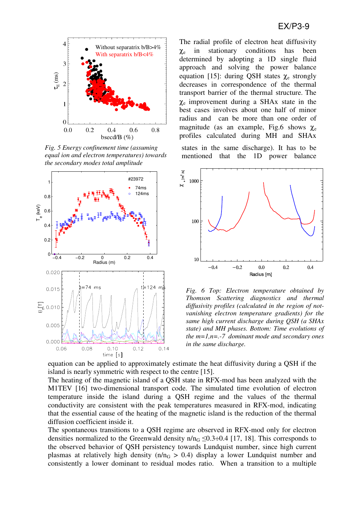

*Fig. 5 Energy confinement time (assuming equal ion and electron temperatures) towards the secondary modes total amplitude* 



The radial profile of electron heat diffusivity  $\gamma_e$  in stationary conditions has been determined by adopting a 1D single fluid approach and solving the power balance equation [15]: during QSH states  $χ_e$  strongly decreases in correspondence of the thermal transport barrier of the thermal structure. The χe improvement during a SHAx state in the best cases involves about one half of minor radius and can be more than one order of magnitude (as an example, Fig.6 shows  $\chi_e$ profiles calculated during MH and SHAx

states in the same discharge). It has to be mentioned that the 1D power balance



*Fig. 6 Top: Electron temperature obtained by Thomson Scattering diagnostics and thermal diffusivity profiles (calculated in the region of notvanishing electron temperature gradients) for the same high current discharge during QSH (a SHAx state) and MH phases. Bottom: Time evolutions of the m=1,n=.-7 dominant mode and secondary ones in the same discharge.* 

equation can be applied to approximately estimate the heat diffusivity during a QSH if the island is nearly symmetric with respect to the centre [15].

The heating of the magnetic island of a QSH state in RFX-mod has been analyzed with the M1TEV [16] two-dimensional transport code. The simulated time evolution of electron temperature inside the island during a QSH regime and the values of the thermal conductivity are consistent with the peak temperatures measured in RFX-mod, indicating that the essential cause of the heating of the magnetic island is the reduction of the thermal diffusion coefficient inside it.

The spontaneous transitions to a QSH regime are observed in RFX-mod only for electron densities normalized to the Greenwald density  $n/n_G \le 0.3 \div 0.4$  [17, 18]. This corresponds to the observed behavior of QSH persistency towards Lundquist number, since high current plasmas at relatively high density  $(n/n<sub>G</sub> > 0.4)$  display a lower Lundquist number and consistently a lower dominant to residual modes ratio. When a transition to a multiple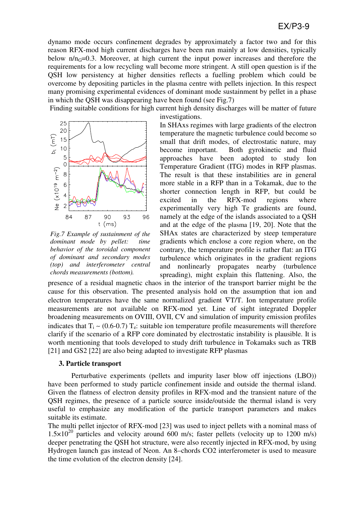dynamo mode occurs confinement degrades by approximately a factor two and for this reason RFX-mod high current discharges have been run mainly at low densities, typically below  $n/n<sub>G</sub>=0.3$ . Moreover, at high current the input power increases and therefore the requirements for a low recycling wall become more stringent. A still open question is if the QSH low persistency at higher densities reflects a fuelling problem which could be overcome by depositing particles in the plasma centre with pellets injection. In this respect many promising experimental evidences of dominant mode sustainment by pellet in a phase in which the QSH was disappearing have been found (see Fig.7)

 Finding suitable conditions for high current high density discharges will be matter of future investigations.



*Fig.7 Example of sustainment of the dominant mode by pellet: time behavior of the toroidal component of dominant and secondary modes (top) and interferometer central chords measurements (bottom).* 

In SHAxs regimes with large gradients of the electron temperature the magnetic turbulence could become so small that drift modes, of electrostatic nature, may become important. Both gyrokinetic and fluid approaches have been adopted to study Ion Temperature Gradient (ITG) modes in RFP plasmas. The result is that these instabilities are in general more stable in a RFP than in a Tokamak, due to the shorter connection length in RFP, but could be excited in the RFX-mod regions where experimentally very high Te gradients are found, namely at the edge of the islands associated to a QSH and at the edge of the plasma [19, 20]. Note that the SHAx states are characterized by steep temperature gradients which enclose a core region where, on the contrary, the temperature profile is rather flat: an ITG turbulence which originates in the gradient regions and nonlinearly propagates nearby (turbulence spreading), might explain this flattening. Also, the

presence of a residual magnetic chaos in the interior of the transport barrier might be the cause for this observation. The presented analysis hold on the assumption that ion and electron temperatures have the same normalized gradient ∇T/T. Ion temperature profile measurements are not available on RFX-mod yet. Line of sight integrated Doppler broadening measurements on OVIII, OVII, CV and simulation of impurity emission profiles indicates that  $T_i$  ~ (0.6-0.7)  $T_e$ : suitable ion temperature profile measurements will therefore clarify if the scenario of a RFP core dominated by electrostatic instability is plausible. It is worth mentioning that tools developed to study drift turbulence in Tokamaks such as TRB [21] and GS2 [22] are also being adapted to investigate RFP plasmas

#### **3. Particle transport**

 Perturbative experiments (pellets and impurity laser blow off injections (LBO)) have been performed to study particle confinement inside and outside the thermal island. Given the flatness of electron density profiles in RFX-mod and the transient nature of the QSH regimes, the presence of a particle source inside/outside the thermal island is very useful to emphasize any modification of the particle transport parameters and makes suitable its estimate.

The multi pellet injector of RFX-mod [23] was used to inject pellets with a nominal mass of  $1.5 \times 10^{20}$  particles and velocity around 600 m/s; faster pellets (velocity up to 1200 m/s) deeper penetrating the QSH hot structure, were also recently injected in RFX-mod, by using Hydrogen launch gas instead of Neon. An 8–chords CO2 interferometer is used to measure the time evolution of the electron density [24].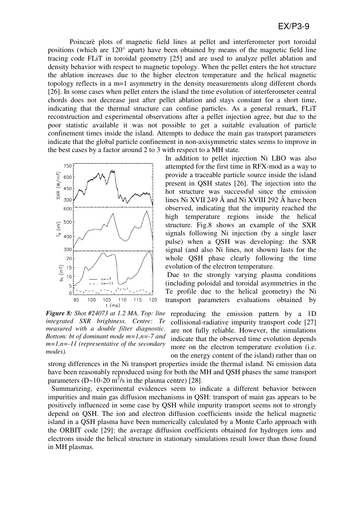Poincarè plots of magnetic field lines at pellet and interferometer port toroidal positions (which are 120° apart) have been obtained by means of the magnetic field line tracing code FLiT in toroidal geometry [25] and are used to analyze pellet ablation and density behavior with respect to magnetic topology. When the pellet enters the hot structure the ablation increases due to the higher electron temperature and the helical magnetic topology reflects in a m=1 asymmetry in the density measurements along different chords [26]. In some cases when pellet enters the island the time evolution of interferometer central chords does not decrease just after pellet ablation and stays constant for a short time, indicating that the thermal structure can confine particles. As a general remark, FLiT reconstruction and experimental observations after a pellet injection agree, but due to the poor statistic available it was not possible to get a suitable evaluation of particle confinement times inside the island. Attempts to deduce the main gas transport parameters indicate that the global particle confinement in non-axisymmetric states seems to improve in the best cases by a factor around 2 to 3 with respect to a MH state*.*



*Figure 8: Shot #24073 at 1.2 MA. Top: line integrated SXR brightness. Centre: Te measured with a double filter diagnostic. Bottom: bt of dominant mode m=1,n=-7 and m=1,n=-11 (representative of the secondary modes).* 

In addition to pellet injection Ni LBO was also attempted for the first time in RFX-mod as a way to provide a traceable particle source inside the island present in QSH states [26]. The injection into the hot structure was successful since the emission lines Ni XVII 249 Å and Ni XVIII 292 Å have been observed, indicating that the impurity reached the high temperature regions inside the helical structure. Fig.8 shows an example of the SXR signals following Ni injection (by a single laser pulse) when a QSH was developing: the SXR signal (and also Ni lines, not shown) lasts for the whole QSH phase clearly following the time evolution of the electron temperature.

 Due to the strongly varying plasma conditions (including poloidal and toroidal asymmetries in the Te profile due to the helical geometry) the Ni transport parameters evaluations obtained by

reproducing the emission pattern by a 1D collisional-radiative impurity transport code [27] are not fully reliable. However, the simulations indicate that the observed time evolution depends more on the electron temperature evolution (i.e. on the energy content of the island) rather than on

strong differences in the Ni transport properties inside the thermal island. Ni emission data have been reasonably reproduced using for both the MH and QSH phases the same transport parameters (D~10-20 m<sup>2</sup>/s in the plasma centre) [28].

 Summarizing, experimental evidences seem to indicate a different behavior between impurities and main gas diffusion mechanisms in QSH: transport of main gas appears to be positively influenced in some case by QSH while impurity transport seems not to strongly depend on QSH. The ion and electron diffusion coefficients inside the helical magnetic island in a QSH plasma have been numerically calculated by a Monte Carlo approach with the ORBIT code [29]: the average diffusion coefficients obtained for hydrogen ions and electrons inside the helical structure in stationary simulations result lower than those found in MH plasmas.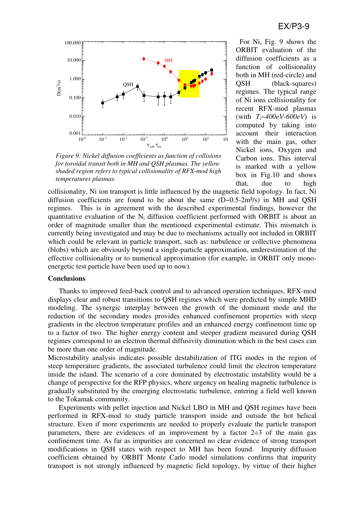

*Figure 9: Nickel diffusion coefficients as function of collisions for toroidal transit both in MH and QSH plasmas. The yellow shaded region refers to typical collisionality of RFX-mod high temperatures plasmas.* 

 For Ni, Fig. 9 shows the ORBIT evaluation of the diffusion coefficients as a function of collisionality both in MH (red-circle) and QSH (black-squares) regimes. The typical range of Ni ions collisionality for recent RFX-mod plasmas (with *Ti~400eV-600eV*) is computed by taking into account their interaction with the main gas, other Nickel ions, Oxygen and Carbon ions. This interval is marked with a yellow box in Fig.10 and shows that, due to high

collisionality, Ni ion transport is little influenced by the magnetic field topology. In fact, Ni diffusion coefficients are found to be about the same  $(D $-0.5-2m<sup>2</sup>/s)$  in MH and QSH$ regimes. This is in agreement with the described experimental findings, however the quantitative evaluation of the  $N_i$  diffusion coefficient performed with ORBIT is about an order of magnitude smaller than the mentioned experimental estimate. This mismatch is currently being investigated and may be due to mechanisms actually not included in ORBIT which could be relevant in particle transport, such as: turbulence or collective phenomena (blobs) which are obviously beyond a single-particle approximation, underestimation of the effective collisionality or to numerical approximation (for example, in ORBIT only monoenergetic test particle have been used up to now).

### **Conclusions**

Thanks to improved feed-back control and to advanced operation techniques, RFX-mod displays clear and robust transitions to QSH regimes which were predicted by simple MHD modeling. The synergic interplay between the growth of the dominant mode and the reduction of the secondary modes provides enhanced confinement properties with steep gradients in the electron temperature profiles and an enhanced energy confinement time up to a factor of two. The higher energy content and steeper gradient measured during QSH regimes correspond to an electron thermal diffusivity diminution which in the best cases can be more than one order of magnitude.

Microstability analysis indicates possible destabilization of ITG modes in the region of steep temperature gradients, the associated turbulence could limit the electron temperature inside the island. The scenario of a core dominated by electrostatic instability would be a change of perspective for the RFP physics, where urgency on healing magnetic turbulence is gradually substituted by the emerging electrostatic turbulence, entering a field well known to the Tokamak community.

Experiments with pellet injection and Nickel LBO in MH and QSH regimes have been performed in RFX-mod to study particle transport inside and outside the hot helical structure. Even if more experiments are needed to properly evaluate the particle transport parameters, there are evidences of an improvement by a factor  $2\div 3$  of the main gas confinement time. As far as impurities are concerned no clear evidence of strong transport modifications in QSH states with respect to MH has been found. Impurity diffusion coefficient obtained by ORBIT Monte Carlo model simulations confirms that impurity transport is not strongly influenced by magnetic field topology, by virtue of their higher